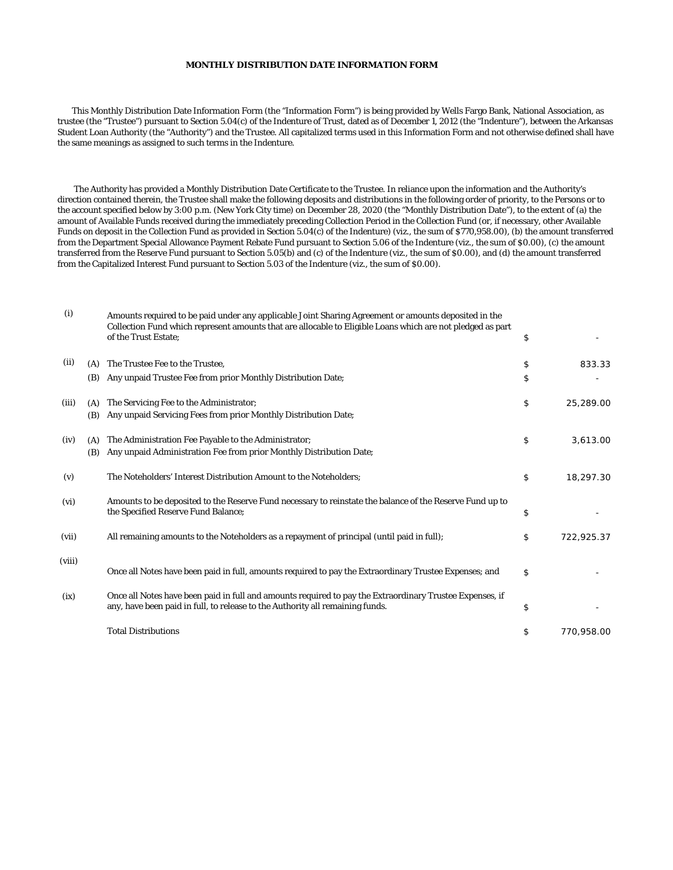## **MONTHLY DISTRIBUTION DATE INFORMATION FORM**

 This Monthly Distribution Date Information Form (the "Information Form") is being provided by Wells Fargo Bank, National Association, as trustee (the "Trustee") pursuant to Section 5.04(c) of the Indenture of Trust, dated as of December 1, 2012 (the "Indenture"), between the Arkansas Student Loan Authority (the "Authority") and the Trustee. All capitalized terms used in this Information Form and not otherwise defined shall have the same meanings as assigned to such terms in the Indenture.

 The Authority has provided a Monthly Distribution Date Certificate to the Trustee. In reliance upon the information and the Authority's direction contained therein, the Trustee shall make the following deposits and distributions in the following order of priority, to the Persons or to the account specified below by 3:00 p.m. (New York City time) on December 28, 2020 (the "Monthly Distribution Date"), to the extent of (a) the amount of Available Funds received during the immediately preceding Collection Period in the Collection Fund (or, if necessary, other Available Funds on deposit in the Collection Fund as provided in Section 5.04(c) of the Indenture) (viz., the sum of \$770,958.00), (b) the amount transferred from the Department Special Allowance Payment Rebate Fund pursuant to Section 5.06 of the Indenture (viz., the sum of \$0.00), (c) the amount transferred from the Reserve Fund pursuant to Section 5.05(b) and (c) of the Indenture (viz., the sum of \$0.00), and (d) the amount transferred from the Capitalized Interest Fund pursuant to Section 5.03 of the Indenture (viz., the sum of \$0.00).

| (i)    |     | Amounts required to be paid under any applicable Joint Sharing Agreement or amounts deposited in the<br>Collection Fund which represent amounts that are allocable to Eligible Loans which are not pledged as part<br>of the Trust Estate: | \$               |
|--------|-----|--------------------------------------------------------------------------------------------------------------------------------------------------------------------------------------------------------------------------------------------|------------------|
| (ii)   | (A) | The Trustee Fee to the Trustee.                                                                                                                                                                                                            | \$<br>833.33     |
|        | (B) | Any unpaid Trustee Fee from prior Monthly Distribution Date;                                                                                                                                                                               | \$               |
| (iii)  | (A) | The Servicing Fee to the Administrator;                                                                                                                                                                                                    | \$<br>25,289.00  |
|        | (B) | Any unpaid Servicing Fees from prior Monthly Distribution Date;                                                                                                                                                                            |                  |
| (iv)   | (A) | The Administration Fee Payable to the Administrator;                                                                                                                                                                                       | \$<br>3,613.00   |
|        | (B) | Any unpaid Administration Fee from prior Monthly Distribution Date;                                                                                                                                                                        |                  |
| (v)    |     | The Noteholders' Interest Distribution Amount to the Noteholders;                                                                                                                                                                          | \$<br>18,297.30  |
| (vi)   |     | Amounts to be deposited to the Reserve Fund necessary to reinstate the balance of the Reserve Fund up to<br>the Specified Reserve Fund Balance;                                                                                            | \$               |
| (vii)  |     | All remaining amounts to the Noteholders as a repayment of principal (until paid in full);                                                                                                                                                 | \$<br>722,925.37 |
| (viii) |     | Once all Notes have been paid in full, amounts required to pay the Extraordinary Trustee Expenses; and                                                                                                                                     | \$               |
| (ix)   |     | Once all Notes have been paid in full and amounts required to pay the Extraordinary Trustee Expenses, if<br>any, have been paid in full, to release to the Authority all remaining funds.                                                  | \$               |
|        |     | <b>Total Distributions</b>                                                                                                                                                                                                                 | \$<br>770,958.00 |